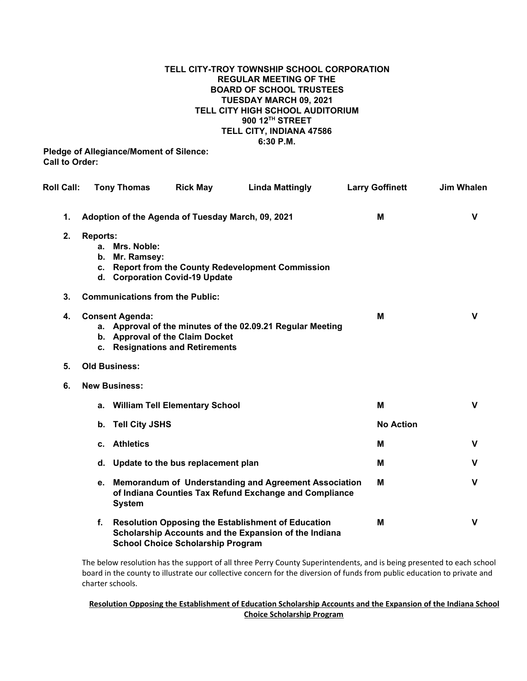## **TELL CITY-TROY TOWNSHIP SCHOOL CORPORATION REGULAR MEETING OF THE BOARD OF SCHOOL TRUSTEES TUESDAY MARCH 09, 2021 TELL CITY HIGH SCHOOL AUDITORIUM 900 12 TH STREET TELL CITY, INDIANA 47586 6:30 P.M.**

**Pledge of Allegiance/Moment of Silence: Call to Order:**

| <b>Roll Call:</b> |                                                   | <b>Tony Thomas</b>            | <b>Rick May</b>                                                    | <b>Linda Mattingly</b>                                                                                             | <b>Larry Goffinett</b> | <b>Jim Whalen</b> |
|-------------------|---------------------------------------------------|-------------------------------|--------------------------------------------------------------------|--------------------------------------------------------------------------------------------------------------------|------------------------|-------------------|
| 1.                | Adoption of the Agenda of Tuesday March, 09, 2021 |                               |                                                                    |                                                                                                                    | M                      | $\mathsf{V}$      |
| 2.                | <b>Reports:</b><br>b.<br>C.                       | a. Mrs. Noble:<br>Mr. Ramsey: | d. Corporation Covid-19 Update                                     | <b>Report from the County Redevelopment Commission</b>                                                             |                        |                   |
| 3.                | <b>Communications from the Public:</b>            |                               |                                                                    |                                                                                                                    |                        |                   |
| 4.                |                                                   | <b>Consent Agenda:</b>        | b. Approval of the Claim Docket<br>c. Resignations and Retirements | a. Approval of the minutes of the 02.09.21 Regular Meeting                                                         | М                      | $\mathbf v$       |
| 5.                | <b>Old Business:</b>                              |                               |                                                                    |                                                                                                                    |                        |                   |
| 6.                | <b>New Business:</b>                              |                               |                                                                    |                                                                                                                    |                        |                   |
|                   | a.                                                |                               | <b>William Tell Elementary School</b>                              |                                                                                                                    | м                      | $\mathbf v$       |
|                   | b.                                                | <b>Tell City JSHS</b>         |                                                                    |                                                                                                                    | <b>No Action</b>       |                   |
|                   |                                                   | c. Athletics                  |                                                                    |                                                                                                                    | м                      | V                 |
|                   |                                                   |                               | d. Update to the bus replacement plan                              |                                                                                                                    | М                      | v                 |
|                   |                                                   | <b>System</b>                 |                                                                    | e. Memorandum of Understanding and Agreement Association<br>of Indiana Counties Tax Refund Exchange and Compliance | м                      | $\mathbf v$       |
|                   | f.                                                |                               | <b>School Choice Scholarship Program</b>                           | <b>Resolution Opposing the Establishment of Education</b><br>Scholarship Accounts and the Expansion of the Indiana | M                      | $\mathbf v$       |

The below resolution has the support of all three Perry County Superintendents, and is being presented to each school board in the county to illustrate our collective concern for the diversion of funds from public education to private and charter schools.

## **Resolution Opposing the Establishment of Education Scholarship Accounts and the Expansion of the Indiana School Choice Scholarship Program**